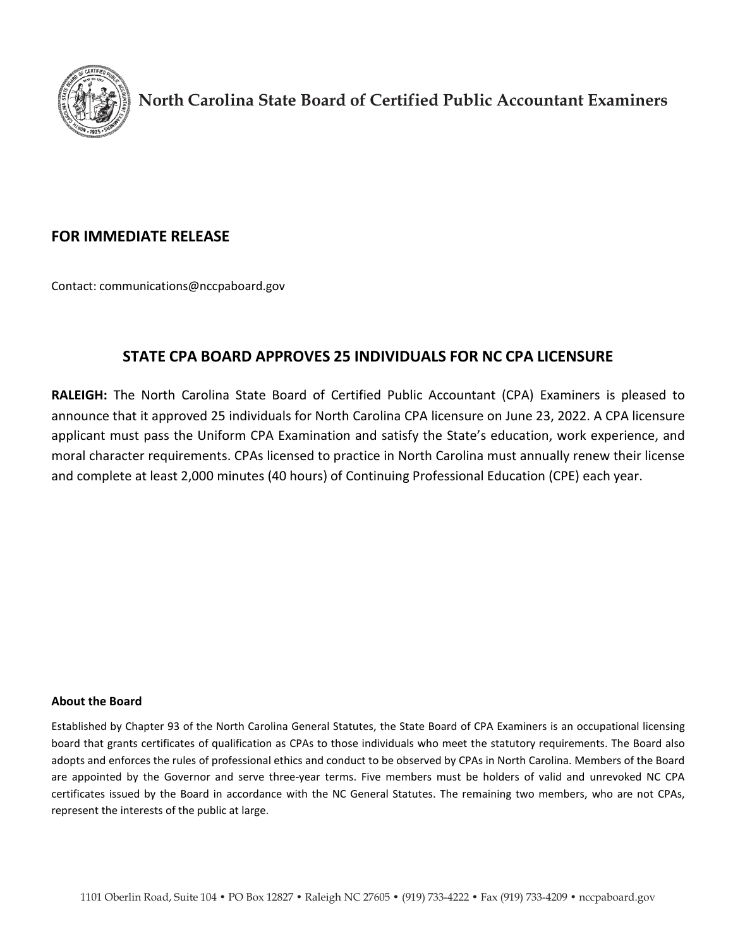

**North Carolina State Board of Certified Public Accountant Examiners**

## **FOR IMMEDIATE RELEASE**

Contact: [communications@nccpaboard.gov](mailto:communications@nccpaboard.gov)

## **STATE CPA BOARD APPROVES 25 INDIVIDUALS FOR NC CPA LICENSURE**

**RALEIGH:** The North Carolina State Board of Certified Public Accountant (CPA) Examiners is pleased to announce that it approved 25 individuals for North Carolina CPA licensure on June 23, 2022. A CPA licensure applicant must pass the Uniform CPA Examination and satisfy the State's education, work experience, and moral character requirements. CPAs licensed to practice in North Carolina must annually renew their license and complete at least 2,000 minutes (40 hours) of Continuing Professional Education (CPE) each year.

## **About the Board**

Established by Chapter 93 of the North Carolina General Statutes, the State Board of CPA Examiners is an occupational licensing board that grants certificates of qualification as CPAs to those individuals who meet the statutory requirements. The Board also adopts and enforces the rules of professional ethics and conduct to be observed by CPAs in North Carolina. Members of the Board are appointed by the Governor and serve three-year terms. Five members must be holders of valid and unrevoked NC CPA certificates issued by the Board in accordance with the NC General Statutes. The remaining two members, who are not CPAs, represent the interests of the public at large.